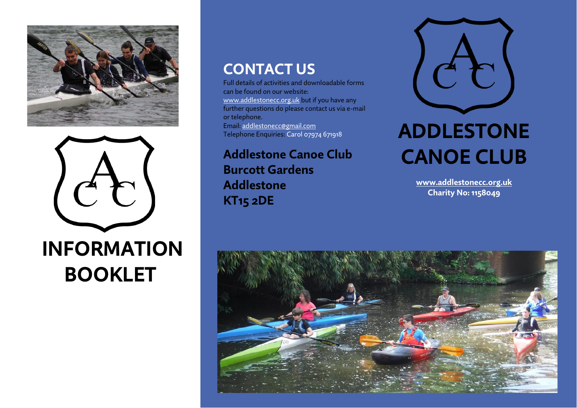



**INFORMATION BOOKLET**

## **CONTACT US**

Full details of activities and downloadable forms can be found on our website: [www.addlestonecc.org.uk](http://www.addlestonecc.org.uk/) but if you have any further questions do please contact us via e-mail or telephone. Email[: addlestonecc@gmail.com](mailto:addlestonecc@gmail.com) Telephone Enquiries: Carol 07974 671918

**Addlestone Canoe Club Burcott Gardens Addlestone KT15 2DE**



# **ADDLESTONE CANOE CLUB**

**[www.addlestonecc.org.uk](http://www.addlestonecc.org.uk/) Charity No: 1158049**

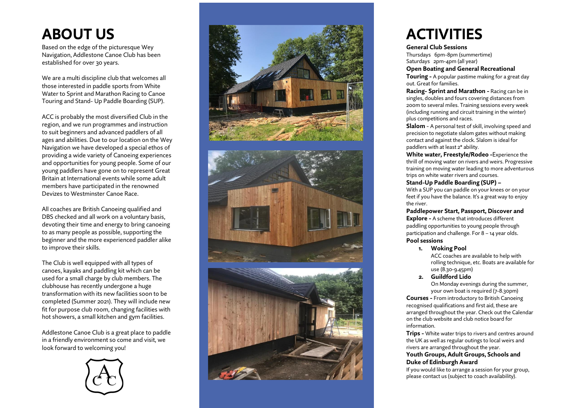## **ABOUT US**

Based on the edge of the picturesque Wey Navigation, Addlestone Canoe Club has been established for over 30 years.

We are a multi discipline club that welcomes all those interested in paddle sports from White Water to Sprint and Marathon Racing to Canoe Touring and Stand - Up Paddle Boarding (SUP) .

ACC is probably the most diversified Club in the region, and we run programmes and instruction to suit beginners and advanced paddlers of all ages and abilities. Due to our location on the Wey Navigation we have developed a special ethos of providing a wide variety of Canoeing experiences and opportunities for young people. Some of our young paddlers have gone on to represent Great Britain at International events while some adult members have participated in the renowned Devizes to Westminster Canoe Race.

All coaches are British Canoeing qualified and DBS checked and all work on a voluntary basis, devoting their time and energy to bring canoeing to as many people as possible, supporting the beginner and the more experienced paddler alike to improve their skills.

The Club is well equipped with all types of canoes, kayaks and paddling kit which can be used for a small charge by club members. The clubhouse has recently undergone a huge transformation with its new facilities soon to be completed (Summer 2021). They will include new fit for purpose club room, changing facilities with hot showers, a small kitchen and gym facilities.

Addlestone Canoe Club is a great place to paddle in a friendly environment so come and visit, we look forward to welcoming you!









## **ACTIVITIES**

#### **General Club Sessions**

Thursdays 6pm -8pm (summertime) Saturdays 2pm -4pm (all year)

#### **Open Boating and General Recreational**

**Touring -** A popular pastime making for a great day out. Great for families.

**Racing - Sprint and Marathon -** Racing can be in singles, doubles and fours covering distances from 200m to several miles. Training sessions every week (including running and circuit training in the winter) plus competitions and races.

**Slalom** - A personal test of skill, involving speed and precision to negotiate slalom gates without making contact and against the clock. Slalom is ideal for paddlers with at least 2\* ability.

**White water, Freestyle/Rodeo -** Experience the thrill of moving water on rivers and weirs. Progressive training on moving water leading to more adventurous trips on white water rivers and courses.

#### **Stand -Up Paddle Boarding (SUP) –**

With a SUP you can paddle on your knees or on your feet if you have the balance. It's a great way to enjoy the river .

#### **Paddlepower Start, Passport, Discover and**

**Explore -** A scheme that introduces different paddling opportunities to young people through participation and challenge. For 8 – 14 year olds. **Pool sessions**

#### **1. Woking Pool**

ACC coaches are available to help with rolling technique, etc. Boats are available for use (8.30 -9.45pm)

**2. Guildford Lido**

On Monday evenings during the summer, your own boat is required (7 -8.30pm)

**Courses -** From introductory to British Canoeing recognised qualifications and first aid, these are arranged throughout the year. Check out the Calendar on the club website and club notice board for information.

**Trip s -** White water trips to rivers and centres around the UK as well as regular outings to local weirs and rivers are arranged throughout the year.

#### **Youth Groups, Adult Groups, Schools and Duke of Edinburgh Award**

If you would like to arrange a session for your group, please contact us (subject to coach availability).